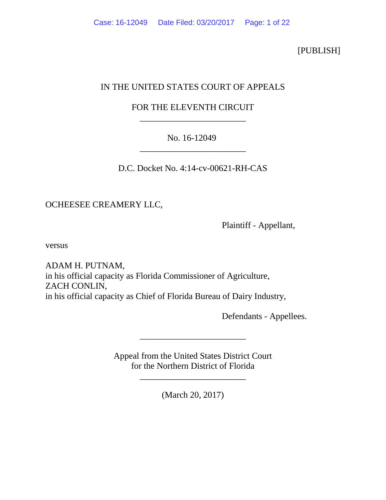[PUBLISH]

# IN THE UNITED STATES COURT OF APPEALS

# FOR THE ELEVENTH CIRCUIT \_\_\_\_\_\_\_\_\_\_\_\_\_\_\_\_\_\_\_\_\_\_\_\_

# No. 16-12049 \_\_\_\_\_\_\_\_\_\_\_\_\_\_\_\_\_\_\_\_\_\_\_\_

D.C. Docket No. 4:14-cv-00621-RH-CAS

OCHEESEE CREAMERY LLC,

Plaintiff - Appellant,

versus

ADAM H. PUTNAM, in his official capacity as Florida Commissioner of Agriculture, ZACH CONLIN, in his official capacity as Chief of Florida Bureau of Dairy Industry,

Defendants - Appellees.

Appeal from the United States District Court for the Northern District of Florida

\_\_\_\_\_\_\_\_\_\_\_\_\_\_\_\_\_\_\_\_\_\_\_\_

\_\_\_\_\_\_\_\_\_\_\_\_\_\_\_\_\_\_\_\_\_\_\_\_

(March 20, 2017)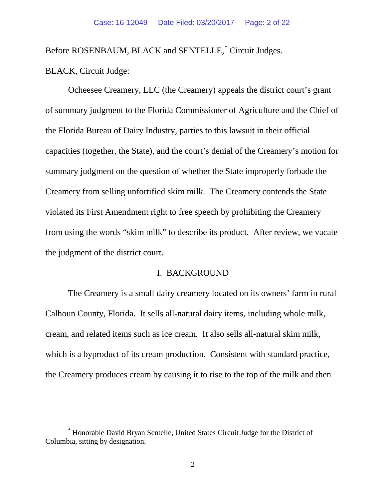Before ROSENBAUM, BLACK and SENTELLE, [\\*](#page-1-0) Circuit Judges.

BLACK, Circuit Judge:

Ocheesee Creamery, LLC (the Creamery) appeals the district court's grant of summary judgment to the Florida Commissioner of Agriculture and the Chief of the Florida Bureau of Dairy Industry, parties to this lawsuit in their official capacities (together, the State), and the court's denial of the Creamery's motion for summary judgment on the question of whether the State improperly forbade the Creamery from selling unfortified skim milk. The Creamery contends the State violated its First Amendment right to free speech by prohibiting the Creamery from using the words "skim milk" to describe its product. After review, we vacate the judgment of the district court.

#### I. BACKGROUND

The Creamery is a small dairy creamery located on its owners' farm in rural Calhoun County, Florida. It sells all-natural dairy items, including whole milk, cream, and related items such as ice cream.It also sells all-natural skim milk, which is a byproduct of its cream production. Consistent with standard practice, the Creamery produces cream by causing it to rise to the top of the milk and then

<span id="page-1-0"></span> <sup>\*</sup> Honorable David Bryan Sentelle, United States Circuit Judge for the District of Columbia, sitting by designation.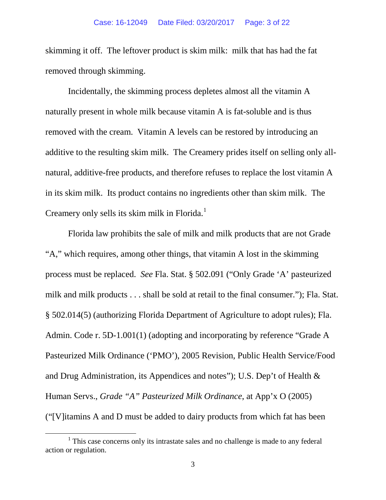skimming it off. The leftover product is skim milk: milk that has had the fat removed through skimming.

Incidentally, the skimming process depletes almost all the vitamin A naturally present in whole milk because vitamin A is fat-soluble and is thus removed with the cream.Vitamin A levels can be restored by introducing an additive to the resulting skim milk. The Creamery prides itself on selling only allnatural, additive-free products, and therefore refuses to replace the lost vitamin A in its skim milk. Its product contains no ingredients other than skim milk.The Creamery only sells its skim milk in Florida.<sup>[1](#page-2-0)</sup>

Florida law prohibits the sale of milk and milk products that are not Grade "A," which requires, among other things, that vitamin A lost in the skimming process must be replaced. *See* Fla. Stat. § 502.091 ("Only Grade 'A' pasteurized milk and milk products . . . shall be sold at retail to the final consumer."); Fla. Stat. § 502.014(5) (authorizing Florida Department of Agriculture to adopt rules); Fla. Admin. Code r. 5D-1.001(1) (adopting and incorporating by reference "Grade A Pasteurized Milk Ordinance ('PMO'), 2005 Revision, Public Health Service/Food and Drug Administration, its Appendices and notes"); U.S. Dep't of Health & Human Servs., *Grade "A" Pasteurized Milk Ordinance*, at App'x O (2005) ("[V]itamins A and D must be added to dairy products from which fat has been

<span id="page-2-0"></span><sup>&</sup>lt;sup>1</sup> This case concerns only its intrastate sales and no challenge is made to any federal action or regulation.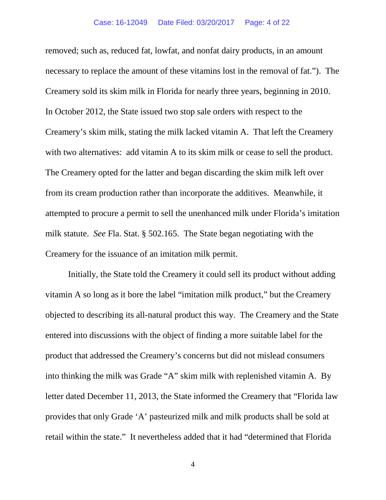removed; such as, reduced fat, lowfat, and nonfat dairy products, in an amount necessary to replace the amount of these vitamins lost in the removal of fat."). The Creamery sold its skim milk in Florida for nearly three years, beginning in 2010. In October 2012, the State issued two stop sale orders with respect to the Creamery's skim milk, stating the milk lacked vitamin A.That left the Creamery with two alternatives: add vitamin A to its skim milk or cease to sell the product. The Creamery opted for the latter and began discarding the skim milk left over from its cream production rather than incorporate the additives. Meanwhile, it attempted to procure a permit to sell the unenhanced milk under Florida's imitation milk statute. *See* Fla. Stat. § 502.165. The State began negotiating with the Creamery for the issuance of an imitation milk permit.

Initially, the State told the Creamery it could sell its product without adding vitamin A so long as it bore the label "imitation milk product," but the Creamery objected to describing its all-natural product this way. The Creamery and the State entered into discussions with the object of finding a more suitable label for the product that addressed the Creamery's concerns but did not mislead consumers into thinking the milk was Grade "A" skim milk with replenished vitamin A. By letter dated December 11, 2013, the State informed the Creamery that "Florida law provides that only Grade 'A' pasteurized milk and milk products shall be sold at retail within the state." It nevertheless added that it had "determined that Florida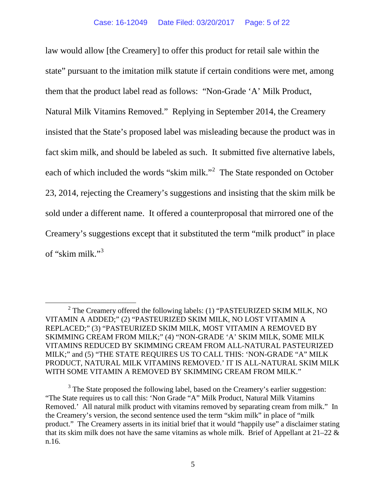law would allow [the Creamery] to offer this product for retail sale within the state" pursuant to the imitation milk statute if certain conditions were met, among them that the product label read as follows: "Non-Grade 'A' Milk Product, Natural Milk Vitamins Removed." Replying in September 2014, the Creamery insisted that the State's proposed label was misleading because the product was in fact skim milk, and should be labeled as such. It submitted five alternative labels, each of which included the words "skim milk."<sup>[2](#page-4-0)</sup> The State responded on October 23, 2014, rejecting the Creamery's suggestions and insisting that the skim milk be sold under a different name. It offered a counterproposal that mirrored one of the Creamery's suggestions except that it substituted the term "milk product" in place of "skim milk."[3](#page-4-1)

<span id="page-4-0"></span> $2$  The Creamery offered the following labels: (1) "PASTEURIZED SKIM MILK, NO VITAMIN A ADDED;" (2) "PASTEURIZED SKIM MILK, NO LOST VITAMIN A REPLACED;" (3) "PASTEURIZED SKIM MILK, MOST VITAMIN A REMOVED BY SKIMMING CREAM FROM MILK;" (4) "NON-GRADE 'A' SKIM MILK, SOME MILK VITAMINS REDUCED BY SKIMMING CREAM FROM ALL-NATURAL PASTEURIZED MILK;" and (5) "THE STATE REQUIRES US TO CALL THIS: 'NON-GRADE "A" MILK PRODUCT, NATURAL MILK VITAMINS REMOVED.' IT IS ALL-NATURAL SKIM MILK WITH SOME VITAMIN A REMOVED BY SKIMMING CREAM FROM MILK."

<span id="page-4-1"></span> $3$  The State proposed the following label, based on the Creamery's earlier suggestion: "The State requires us to call this: 'Non Grade "A" Milk Product, Natural Milk Vitamins Removed.' All natural milk product with vitamins removed by separating cream from milk." In the Creamery's version, the second sentence used the term "skim milk" in place of "milk product." The Creamery asserts in its initial brief that it would "happily use" a disclaimer stating that its skim milk does not have the same vitamins as whole milk. Brief of Appellant at  $21-22 \&$ n.16.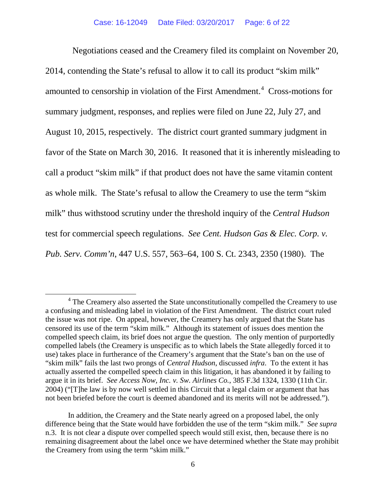Negotiations ceased and the Creamery filed its complaint on November 20, 2014, contending the State's refusal to allow it to call its product "skim milk" amounted to censorship in violation of the First Amendment.<sup>[4](#page-5-0)</sup> Cross-motions for summary judgment, responses, and replies were filed on June 22, July 27, and August 10, 2015, respectively. The district court granted summary judgment in favor of the State on March 30, 2016. It reasoned that it is inherently misleading to call a product "skim milk" if that product does not have the same vitamin content as whole milk. The State's refusal to allow the Creamery to use the term "skim milk" thus withstood scrutiny under the threshold inquiry of the *Central Hudson*  test for commercial speech regulations. *See Cent. Hudson Gas & Elec. Corp. v. Pub. Serv. Comm'n*, 447 U.S. 557, 563–64, 100 S. Ct. 2343, 2350 (1980). The

<span id="page-5-0"></span><sup>&</sup>lt;sup>4</sup> The Creamery also asserted the State unconstitutionally compelled the Creamery to use a confusing and misleading label in violation of the First Amendment. The district court ruled the issue was not ripe. On appeal, however, the Creamery has only argued that the State has censored its use of the term "skim milk." Although its statement of issues does mention the compelled speech claim, its brief does not argue the question. The only mention of purportedly compelled labels (the Creamery is unspecific as to which labels the State allegedly forced it to use) takes place in furtherance of the Creamery's argument that the State's ban on the use of "skim milk" fails the last two prongs of *Central Hudson*, discussed *infra*. To the extent it has actually asserted the compelled speech claim in this litigation, it has abandoned it by failing to argue it in its brief. *See Access Now, Inc. v. Sw. Airlines Co.*, 385 F.3d 1324, 1330 (11th Cir. 2004) ("[T]he law is by now well settled in this Circuit that a legal claim or argument that has not been briefed before the court is deemed abandoned and its merits will not be addressed.").

In addition, the Creamery and the State nearly agreed on a proposed label, the only difference being that the State would have forbidden the use of the term "skim milk." *See supra* n.3. It is not clear a dispute over compelled speech would still exist, then, because there is no remaining disagreement about the label once we have determined whether the State may prohibit the Creamery from using the term "skim milk."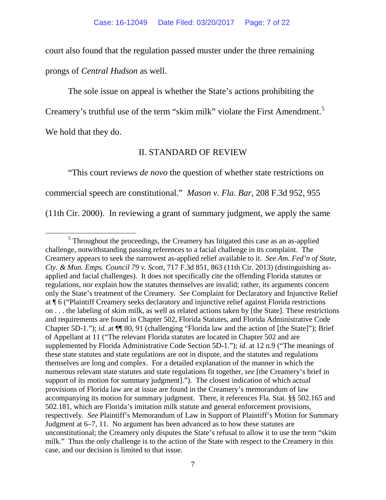court also found that the regulation passed muster under the three remaining prongs of *Central Hudson* as well.

The sole issue on appeal is whether the State's actions prohibiting the

Creamery's truthful use of the term "skim milk" violate the First Amendment.<sup>[5](#page-6-0)</sup>

We hold that they do.

## II. STANDARD OF REVIEW

"This court reviews *de novo* the question of whether state restrictions on commercial speech are constitutional." *Mason v. Fla. Bar*, 208 F.3d 952, 955 (11th Cir. 2000). In reviewing a grant of summary judgment, we apply the same

<span id="page-6-0"></span> $<sup>5</sup>$  Throughout the proceedings, the Creamery has litigated this case as an as-applied</sup> challenge, notwithstanding passing references to a facial challenge in its complaint. The Creamery appears to seek the narrowest as-applied relief available to it. *See Am. Fed'n of State, Cty. & Mun. Emps. Council 79 v. Scott*, 717 F.3d 851, 863 (11th Cir. 2013) (distinguishing asapplied and facial challenges). It does not specifically cite the offending Florida statutes or regulations, nor explain how the statutes themselves are invalid; rather, its arguments concern only the State's treatment of the Creamery. *See* Complaint for Declaratory and Injunctive Relief at ¶ 6 ("Plaintiff Creamery seeks declaratory and injunctive relief against Florida restrictions on . . . the labeling of skim milk, as well as related actions taken by [the State]. These restrictions and requirements are found in Chapter 502, Florida Statutes, and Florida Administrative Code Chapter 5D-1."); *id.* at ¶¶ 80, 91 (challenging "Florida law and the action of [the State]"); Brief of Appellant at 11 ("The relevant Florida statutes are located in Chapter 502 and are supplemented by Florida Administrative Code Section 5D-1."); *id.* at 12 n.9 ("The meanings of these state statutes and state regulations are not in dispute, and the statutes and regulations themselves are long and complex. For a detailed explanation of the manner in which the numerous relevant state statutes and state regulations fit together, *see* [the Creamery's brief in support of its motion for summary judgment]."). The closest indication of which actual provisions of Florida law are at issue are found in the Creamery's memorandum of law accompanying its motion for summary judgment. There, it references Fla. Stat. §§ 502.165 and 502.181, which are Florida's imitation milk statute and general enforcement provisions, respectively. *See* Plaintiff's Memorandum of Law in Support of Plaintiff's Motion for Summary Judgment at 6–7, 11. No argument has been advanced as to how these statutes are unconstitutional; the Creamery only disputes the State's refusal to allow it to use the term "skim milk." Thus the only challenge is to the action of the State with respect to the Creamery in this case, and our decision is limited to that issue.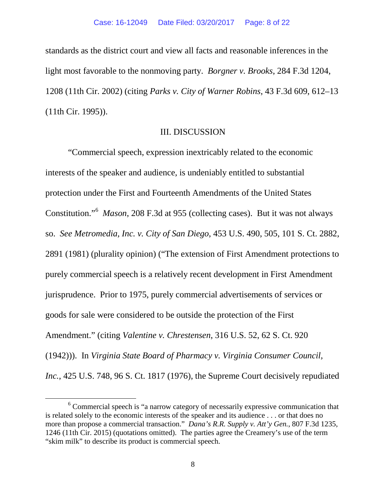standards as the district court and view all facts and reasonable inferences in the light most favorable to the nonmoving party. *Borgner v. Brooks*, 284 F.3d 1204, 1208 (11th Cir. 2002) (citing *Parks v. City of Warner Robins*, 43 F.3d 609, 612–13 (11th Cir. 1995)).

### III. DISCUSSION

"Commercial speech, expression inextricably related to the economic interests of the speaker and audience, is undeniably entitled to substantial protection under the First and Fourteenth Amendments of the United States Constitution."[6](#page-7-0) *Mason*, 208 F.3d at 955 (collecting cases). But it was not always so. *See Metromedia, Inc. v. City of San Diego*, 453 U.S. 490, 505, 101 S. Ct. 2882, 2891 (1981) (plurality opinion) ("The extension of First Amendment protections to purely commercial speech is a relatively recent development in First Amendment jurisprudence. Prior to 1975, purely commercial advertisements of services or goods for sale were considered to be outside the protection of the First Amendment." (citing *Valentine v. Chrestensen*, 316 U.S. 52, 62 S. Ct. 920 (1942))). In *Virginia State Board of Pharmacy v. Virginia Consumer Council, Inc.*, 425 U.S. 748, 96 S. Ct. 1817 (1976), the Supreme Court decisively repudiated

<span id="page-7-0"></span><sup>&</sup>lt;sup>6</sup> Commercial speech is "a narrow category of necessarily expressive communication that is related solely to the economic interests of the speaker and its audience . . . or that does no more than propose a commercial transaction." *Dana's R.R. Supply v. Att'y Gen.*, 807 F.3d 1235, 1246 (11th Cir. 2015) (quotations omitted). The parties agree the Creamery's use of the term "skim milk" to describe its product is commercial speech.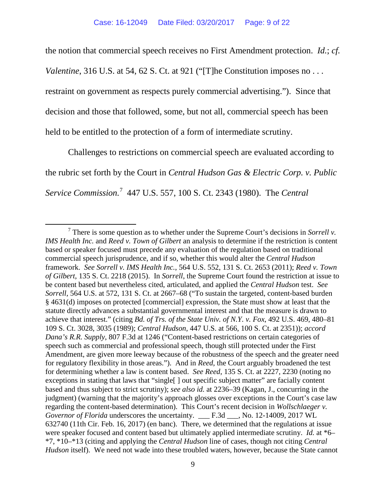the notion that commercial speech receives no First Amendment protection. *Id.*; *cf.*

*Valentine*, 316 U.S. at 54, 62 S. Ct. at 921 ("The Constitution imposes no . . .

restraint on government as respects purely commercial advertising."). Since that

decision and those that followed, some, but not all, commercial speech has been

held to be entitled to the protection of a form of intermediate scrutiny.

Challenges to restrictions on commercial speech are evaluated according to the rubric set forth by the Court in *Central Hudson Gas & Electric Corp. v. Public Service Commission.* [7](#page-8-0) 447 U.S. 557, 100 S. Ct. 2343 (1980). The *Central* 

<span id="page-8-0"></span> <sup>7</sup> There is some question as to whether under the Supreme Court's decisions in *Sorrell v. IMS Health Inc.* and *Reed v. Town of Gilbert* an analysis to determine if the restriction is content based or speaker focused must precede any evaluation of the regulation based on traditional commercial speech jurisprudence, and if so, whether this would alter the *Central Hudson* framework. *See Sorrell v. IMS Health Inc.*, 564 U.S. 552, 131 S. Ct. 2653 (2011); *Reed v. Town of Gilbert*, 135 S. Ct. 2218 (2015). In *Sorrell*, the Supreme Court found the restriction at issue to be content based but nevertheless cited, articulated, and applied the *Central Hudson* test. *See Sorrell*, 564 U.S. at 572, 131 S. Ct. at 2667–68 ("To sustain the targeted, content-based burden § 4631(d) imposes on protected [commercial] expression, the State must show at least that the statute directly advances a substantial governmental interest and that the measure is drawn to achieve that interest." (citing *Bd. of Trs. of the State Univ. of N.Y. v. Fox*, 492 U.S. 469, 480–81 109 S. Ct. 3028, 3035 (1989); *Central Hudson*, 447 U.S. at 566, 100 S. Ct. at 2351)); *accord Dana's R.R. Supply*, 807 F.3d at 1246 ("Content-based restrictions on certain categories of speech such as commercial and professional speech, though still protected under the First Amendment, are given more leeway because of the robustness of the speech and the greater need for regulatory flexibility in those areas."). And in *Reed*, the Court arguably broadened the test for determining whether a law is content based. *See Reed*, 135 S. Ct. at 2227, 2230 (noting no exceptions in stating that laws that "single<sup>[]</sup> out specific subject matter" are facially content based and thus subject to strict scrutiny); *see also id.* at 2236–39 (Kagan, J., concurring in the judgment) (warning that the majority's approach glosses over exceptions in the Court's case law regarding the content-based determination). This Court's recent decision in *Wollschlaeger v. Governor of Florida* underscores the uncertainty. \_\_\_ F.3d \_\_\_, No. 12-14009, 2017 WL 632740 (11th Cir. Feb. 16, 2017) (en banc). There, we determined that the regulations at issue were speaker focused and content based but ultimately applied intermediate scrutiny. *Id.* at \*6– \*7, \*10–\*13 (citing and applying the *Central Hudson* line of cases, though not citing *Central Hudson* itself). We need not wade into these troubled waters, however, because the State cannot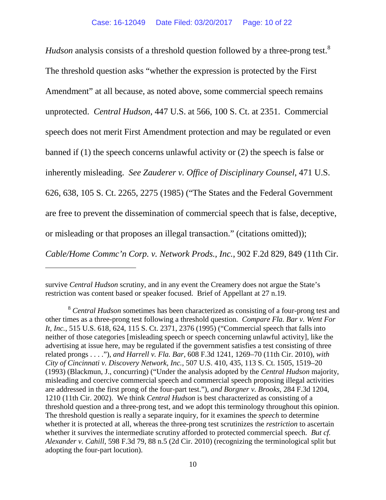*Hudson* analysis consists of a threshold question followed by a three-prong test.<sup>[8](#page-9-0)</sup> The threshold question asks "whether the expression is protected by the First Amendment" at all because, as noted above, some commercial speech remains unprotected. *Central Hudson*, 447 U.S. at 566, 100 S. Ct. at 2351. Commercial speech does not merit First Amendment protection and may be regulated or even banned if (1) the speech concerns unlawful activity or (2) the speech is false or inherently misleading. *See Zauderer v. Office of Disciplinary Counsel*, 471 U.S. 626, 638, 105 S. Ct. 2265, 2275 (1985) ("The States and the Federal Government are free to prevent the dissemination of commercial speech that is false, deceptive, or misleading or that proposes an illegal transaction." (citations omitted)); *Cable/Home Commc'n Corp. v. Network Prods., Inc.*, 902 F.2d 829, 849 (11th Cir.

 $\overline{a}$ 

survive *Central Hudson* scrutiny, and in any event the Creamery does not argue the State's restriction was content based or speaker focused. Brief of Appellant at 27 n.19.

<span id="page-9-0"></span><sup>8</sup> *Central Hudson* sometimes has been characterized as consisting of a four-prong test and other times as a three-prong test following a threshold question. *Compare Fla. Bar v. Went For It, Inc.*, 515 U.S. 618, 624, 115 S. Ct. 2371, 2376 (1995) ("Commercial speech that falls into neither of those categories [misleading speech or speech concerning unlawful activity], like the advertising at issue here, may be regulated if the government satisfies a test consisting of three related prongs . . . ."), *and Harrell v. Fla. Bar*, 608 F.3d 1241, 1269–70 (11th Cir. 2010), *with City of Cincinnati v. Discovery Network, Inc.*, 507 U.S. 410, 435, 113 S. Ct. 1505, 1519–20 (1993) (Blackmun, J., concurring) ("Under the analysis adopted by the *Central Hudson* majority, misleading and coercive commercial speech and commercial speech proposing illegal activities are addressed in the first prong of the four-part test."), *and Borgner v. Brooks*, 284 F.3d 1204, 1210 (11th Cir. 2002). We think *Central Hudson* is best characterized as consisting of a threshold question and a three-prong test, and we adopt this terminology throughout this opinion. The threshold question is really a separate inquiry, for it examines the *speech* to determine whether it is protected at all, whereas the three-prong test scrutinizes the *restriction* to ascertain whether it survives the intermediate scrutiny afforded to protected commercial speech. *But cf. Alexander v. Cahill*, 598 F.3d 79, 88 n.5 (2d Cir. 2010) (recognizing the terminological split but adopting the four-part locution).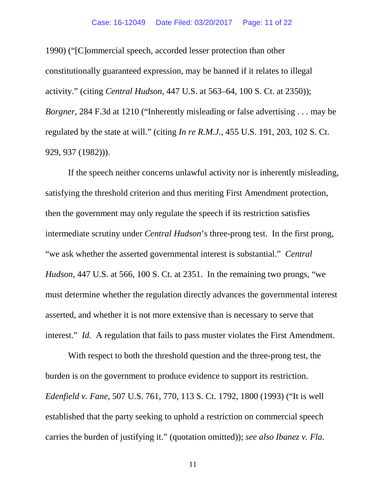1990) ("[C]ommercial speech, accorded lesser protection than other constitutionally guaranteed expression, may be banned if it relates to illegal activity." (citing *Central Hudson*, 447 U.S. at 563–64, 100 S. Ct. at 2350)); *Borgner*, 284 F.3d at 1210 ("Inherently misleading or false advertising . . . may be regulated by the state at will." (citing *In re R.M.J.*, 455 U.S. 191, 203, 102 S. Ct. 929, 937 (1982))).

If the speech neither concerns unlawful activity nor is inherently misleading, satisfying the threshold criterion and thus meriting First Amendment protection, then the government may only regulate the speech if its restriction satisfies intermediate scrutiny under *Central Hudson*'s three-prong test. In the first prong, "we ask whether the asserted governmental interest is substantial." *Central Hudson*, 447 U.S. at 566, 100 S. Ct. at 2351. In the remaining two prongs, "we must determine whether the regulation directly advances the governmental interest asserted, and whether it is not more extensive than is necessary to serve that interest." *Id.* A regulation that fails to pass muster violates the First Amendment.

With respect to both the threshold question and the three-prong test, the burden is on the government to produce evidence to support its restriction. *Edenfield v. Fane*, 507 U.S. 761, 770, 113 S. Ct. 1792, 1800 (1993) ("It is well established that the party seeking to uphold a restriction on commercial speech carries the burden of justifying it." (quotation omitted)); *see also Ibanez v. Fla.* 

11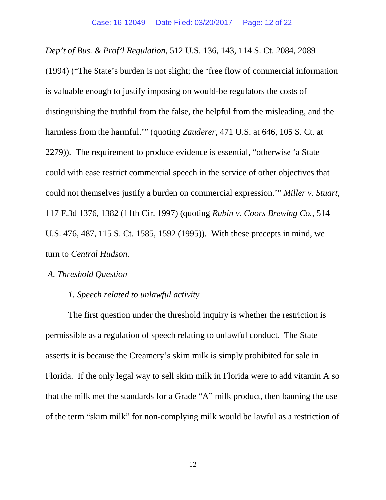*Dep't of Bus. & Prof'l Regulation*, 512 U.S. 136, 143, 114 S. Ct. 2084, 2089 (1994) ("The State's burden is not slight; the 'free flow of commercial information is valuable enough to justify imposing on would-be regulators the costs of distinguishing the truthful from the false, the helpful from the misleading, and the harmless from the harmful.'" (quoting *Zauderer*, 471 U.S. at 646, 105 S. Ct. at 2279)). The requirement to produce evidence is essential, "otherwise 'a State could with ease restrict commercial speech in the service of other objectives that could not themselves justify a burden on commercial expression.'" *Miller v. Stuart*, 117 F.3d 1376, 1382 (11th Cir. 1997) (quoting *Rubin v. Coors Brewing Co.,* 514 U.S. 476, 487, 115 S. Ct. 1585, 1592 (1995)). With these precepts in mind, we turn to *Central Hudson*.

# *A. Threshold Question*

## *1. Speech related to unlawful activity*

The first question under the threshold inquiry is whether the restriction is permissible as a regulation of speech relating to unlawful conduct. The State asserts it is because the Creamery's skim milk is simply prohibited for sale in Florida. If the only legal way to sell skim milk in Florida were to add vitamin A so that the milk met the standards for a Grade "A" milk product, then banning the use of the term "skim milk" for non-complying milk would be lawful as a restriction of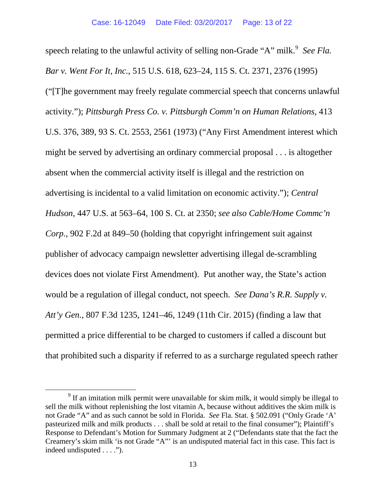speech relating to the unlawful activity of selling non-Grade "A" milk.<sup>[9](#page-12-0)</sup> See Fla. *Bar v. Went For It, Inc.*, 515 U.S. 618, 623–24, 115 S. Ct. 2371, 2376 (1995) ("[T]he government may freely regulate commercial speech that concerns unlawful activity."); *Pittsburgh Press Co. v. Pittsburgh Comm'n on Human Relations*, 413 U.S. 376, 389, 93 S. Ct. 2553, 2561 (1973) ("Any First Amendment interest which might be served by advertising an ordinary commercial proposal . . . is altogether absent when the commercial activity itself is illegal and the restriction on advertising is incidental to a valid limitation on economic activity."); *Central Hudson*, 447 U.S. at 563–64, 100 S. Ct. at 2350; *see also Cable/Home Commc'n Corp.*, 902 F.2d at 849–50 (holding that copyright infringement suit against publisher of advocacy campaign newsletter advertising illegal de-scrambling devices does not violate First Amendment). Put another way, the State's action would be a regulation of illegal conduct, not speech. *See Dana's R.R. Supply v. Att'y Gen.*, 807 F.3d 1235, 1241–46, 1249 (11th Cir. 2015) (finding a law that permitted a price differential to be charged to customers if called a discount but that prohibited such a disparity if referred to as a surcharge regulated speech rather

<span id="page-12-0"></span><sup>&</sup>lt;sup>9</sup> If an imitation milk permit were unavailable for skim milk, it would simply be illegal to sell the milk without replenishing the lost vitamin A, because without additives the skim milk is not Grade "A" and as such cannot be sold in Florida. *See* Fla. Stat. § 502.091 ("Only Grade 'A' pasteurized milk and milk products . . . shall be sold at retail to the final consumer"); Plaintiff's Response to Defendant's Motion for Summary Judgment at 2 ("Defendants state that the fact the Creamery's skim milk 'is not Grade "A"' is an undisputed material fact in this case. This fact is indeed undisputed . . . .").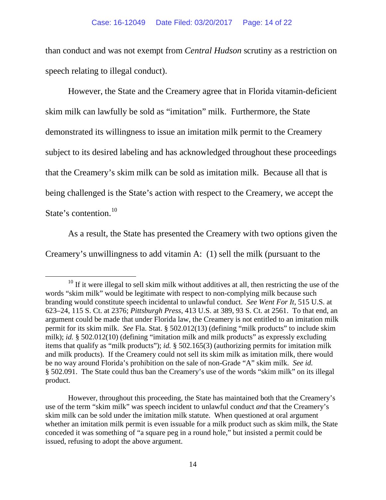than conduct and was not exempt from *Central Hudson* scrutiny as a restriction on speech relating to illegal conduct).

However, the State and the Creamery agree that in Florida vitamin-deficient skim milk can lawfully be sold as "imitation" milk. Furthermore, the State demonstrated its willingness to issue an imitation milk permit to the Creamery subject to its desired labeling and has acknowledged throughout these proceedings that the Creamery's skim milk can be sold as imitation milk. Because all that is being challenged is the State's action with respect to the Creamery, we accept the State's contention.<sup>[10](#page-13-0)</sup>

As a result, the State has presented the Creamery with two options given the Creamery's unwillingness to add vitamin A: (1) sell the milk (pursuant to the

<span id="page-13-0"></span><sup>&</sup>lt;sup>10</sup> If it were illegal to sell skim milk without additives at all, then restricting the use of the words "skim milk" would be legitimate with respect to non-complying milk because such branding would constitute speech incidental to unlawful conduct. *See Went For It*, 515 U.S. at 623–24, 115 S. Ct. at 2376; *Pittsburgh Press*, 413 U.S. at 389, 93 S. Ct. at 2561. To that end, an argument could be made that under Florida law, the Creamery is not entitled to an imitation milk permit for its skim milk. *See* Fla. Stat. § 502.012(13) (defining "milk products" to include skim milk); *id.* § 502.012(10) (defining "imitation milk and milk products" as expressly excluding items that qualify as "milk products"); *id.* § 502.165(3) (authorizing permits for imitation milk and milk products). If the Creamery could not sell its skim milk as imitation milk, there would be no way around Florida's prohibition on the sale of non-Grade "A" skim milk. *See id.* § 502.091. The State could thus ban the Creamery's use of the words "skim milk" on its illegal product.

However, throughout this proceeding, the State has maintained both that the Creamery's use of the term "skim milk" was speech incident to unlawful conduct *and* that the Creamery's skim milk can be sold under the imitation milk statute. When questioned at oral argument whether an imitation milk permit is even issuable for a milk product such as skim milk, the State conceded it was something of "a square peg in a round hole," but insisted a permit could be issued, refusing to adopt the above argument.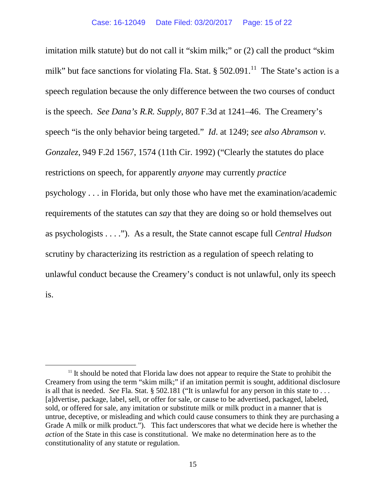imitation milk statute) but do not call it "skim milk;" or (2) call the product "skim milk" but face sanctions for violating Fla. Stat.  $\S 502.091$ .<sup>[11](#page-14-0)</sup> The State's action is a speech regulation because the only difference between the two courses of conduct is the speech. *See Dana's R.R. Supply*, 807 F.3d at 1241–46. The Creamery's speech "is the only behavior being targeted." *Id*. at 1249; *see also Abramson v. Gonzalez*, 949 F.2d 1567, 1574 (11th Cir. 1992) ("Clearly the statutes do place restrictions on speech, for apparently *anyone* may currently *practice* psychology . . . in Florida, but only those who have met the examination/academic requirements of the statutes can *say* that they are doing so or hold themselves out as psychologists . . . ."). As a result, the State cannot escape full *Central Hudson* scrutiny by characterizing its restriction as a regulation of speech relating to unlawful conduct because the Creamery's conduct is not unlawful, only its speech is.

<span id="page-14-0"></span> $11$  It should be noted that Florida law does not appear to require the State to prohibit the Creamery from using the term "skim milk;" if an imitation permit is sought, additional disclosure is all that is needed. *See* Fla. Stat. § 502.181 ("It is unlawful for any person in this state to . . . [a]dvertise, package, label, sell, or offer for sale, or cause to be advertised, packaged, labeled, sold, or offered for sale, any imitation or substitute milk or milk product in a manner that is untrue, deceptive, or misleading and which could cause consumers to think they are purchasing a Grade A milk or milk product."). This fact underscores that what we decide here is whether the *action* of the State in this case is constitutional. We make no determination here as to the constitutionality of any statute or regulation.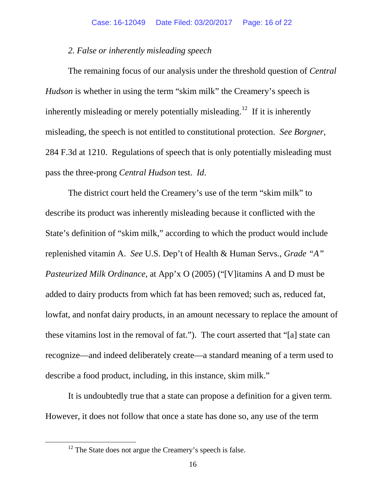### *2. False or inherently misleading speech*

The remaining focus of our analysis under the threshold question of *Central Hudson* is whether in using the term "skim milk" the Creamery's speech is inherently misleading or merely potentially misleading.<sup>12</sup> If it is inherently misleading, the speech is not entitled to constitutional protection. *See Borgner*, 284 F.3d at 1210. Regulations of speech that is only potentially misleading must pass the three-prong *Central Hudson* test. *Id*.

The district court held the Creamery's use of the term "skim milk" to describe its product was inherently misleading because it conflicted with the State's definition of "skim milk," according to which the product would include replenished vitamin A. *See* U.S. Dep't of Health & Human Servs., *Grade "A" Pasteurized Milk Ordinance*, at App'x O (2005) ("[V]itamins A and D must be added to dairy products from which fat has been removed; such as, reduced fat, lowfat, and nonfat dairy products, in an amount necessary to replace the amount of these vitamins lost in the removal of fat."). The court asserted that "[a] state can recognize—and indeed deliberately create—a standard meaning of a term used to describe a food product, including, in this instance, skim milk."

It is undoubtedly true that a state can propose a definition for a given term. However, it does not follow that once a state has done so, any use of the term

<span id="page-15-0"></span> $12$  The State does not argue the Creamery's speech is false.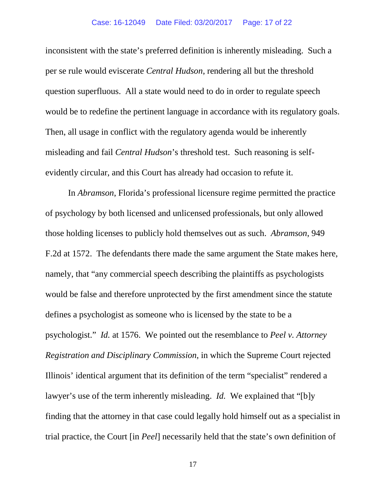inconsistent with the state's preferred definition is inherently misleading. Such a per se rule would eviscerate *Central Hudson*, rendering all but the threshold question superfluous. All a state would need to do in order to regulate speech would be to redefine the pertinent language in accordance with its regulatory goals. Then, all usage in conflict with the regulatory agenda would be inherently misleading and fail *Central Hudson*'s threshold test. Such reasoning is selfevidently circular, and this Court has already had occasion to refute it.

In *Abramson*, Florida's professional licensure regime permitted the practice of psychology by both licensed and unlicensed professionals, but only allowed those holding licenses to publicly hold themselves out as such. *Abramson*, 949 F.2d at 1572. The defendants there made the same argument the State makes here, namely, that "any commercial speech describing the plaintiffs as psychologists would be false and therefore unprotected by the first amendment since the statute defines a psychologist as someone who is licensed by the state to be a psychologist." *Id.* at 1576. We pointed out the resemblance to *Peel v. Attorney Registration and Disciplinary Commission*, in which the Supreme Court rejected Illinois' identical argument that its definition of the term "specialist" rendered a lawyer's use of the term inherently misleading. *Id.* We explained that "[b]y finding that the attorney in that case could legally hold himself out as a specialist in trial practice, the Court [in *Peel*] necessarily held that the state's own definition of

17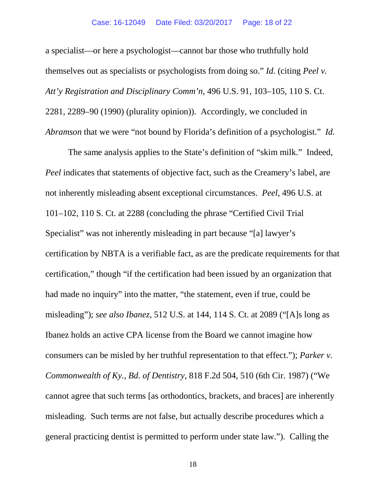a specialist—or here a psychologist—cannot bar those who truthfully hold themselves out as specialists or psychologists from doing so." *Id.* (citing *Peel v. Att'y Registration and Disciplinary Comm'n*, 496 U.S. 91, 103–105, 110 S. Ct. 2281, 2289–90 (1990) (plurality opinion)). Accordingly, we concluded in *Abramson* that we were "not bound by Florida's definition of a psychologist." *Id.*

The same analysis applies to the State's definition of "skim milk." Indeed, *Peel* indicates that statements of objective fact, such as the Creamery's label, are not inherently misleading absent exceptional circumstances. *Peel*, 496 U.S. at 101–102, 110 S. Ct. at 2288 (concluding the phrase "Certified Civil Trial Specialist" was not inherently misleading in part because "[a] lawyer's certification by NBTA is a verifiable fact, as are the predicate requirements for that certification," though "if the certification had been issued by an organization that had made no inquiry" into the matter, "the statement, even if true, could be misleading"); *see also Ibanez*, 512 U.S. at 144, 114 S. Ct. at 2089 ("[A]s long as Ibanez holds an active CPA license from the Board we cannot imagine how consumers can be misled by her truthful representation to that effect."); *Parker v. Commonwealth of Ky., Bd. of Dentistry*, 818 F.2d 504, 510 (6th Cir. 1987) ("We cannot agree that such terms [as orthodontics, brackets, and braces] are inherently misleading. Such terms are not false, but actually describe procedures which a general practicing dentist is permitted to perform under state law."). Calling the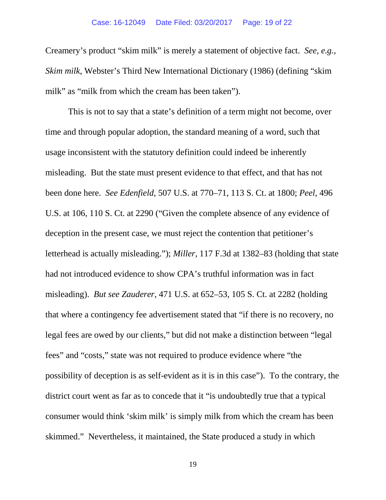Creamery's product "skim milk" is merely a statement of objective fact. *See, e.g.*, *Skim milk*, Webster's Third New International Dictionary (1986) (defining "skim milk" as "milk from which the cream has been taken").

This is not to say that a state's definition of a term might not become, over time and through popular adoption, the standard meaning of a word, such that usage inconsistent with the statutory definition could indeed be inherently misleading. But the state must present evidence to that effect, and that has not been done here. *See Edenfield*, 507 U.S. at 770–71, 113 S. Ct. at 1800; *Peel*, 496 U.S. at 106, 110 S. Ct. at 2290 ("Given the complete absence of any evidence of deception in the present case, we must reject the contention that petitioner's letterhead is actually misleading."); *Miller*, 117 F.3d at 1382–83 (holding that state had not introduced evidence to show CPA's truthful information was in fact misleading). *But see Zauderer*, 471 U.S. at 652–53, 105 S. Ct. at 2282 (holding that where a contingency fee advertisement stated that "if there is no recovery, no legal fees are owed by our clients," but did not make a distinction between "legal fees" and "costs," state was not required to produce evidence where "the possibility of deception is as self-evident as it is in this case"). To the contrary, the district court went as far as to concede that it "is undoubtedly true that a typical consumer would think 'skim milk' is simply milk from which the cream has been skimmed." Nevertheless, it maintained, the State produced a study in which

19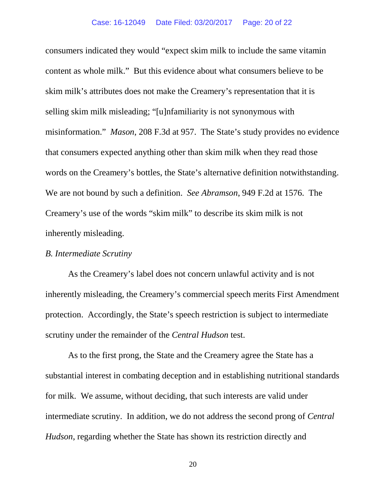consumers indicated they would "expect skim milk to include the same vitamin content as whole milk." But this evidence about what consumers believe to be skim milk's attributes does not make the Creamery's representation that it is selling skim milk misleading; "[u]nfamiliarity is not synonymous with misinformation." *Mason*, 208 F.3d at 957. The State's study provides no evidence that consumers expected anything other than skim milk when they read those words on the Creamery's bottles, the State's alternative definition notwithstanding. We are not bound by such a definition. *See Abramson*, 949 F.2d at 1576. The Creamery's use of the words "skim milk" to describe its skim milk is not inherently misleading.

## *B. Intermediate Scrutiny*

As the Creamery's label does not concern unlawful activity and is not inherently misleading, the Creamery's commercial speech merits First Amendment protection. Accordingly, the State's speech restriction is subject to intermediate scrutiny under the remainder of the *Central Hudson* test.

As to the first prong, the State and the Creamery agree the State has a substantial interest in combating deception and in establishing nutritional standards for milk. We assume, without deciding, that such interests are valid under intermediate scrutiny. In addition, we do not address the second prong of *Central Hudson*, regarding whether the State has shown its restriction directly and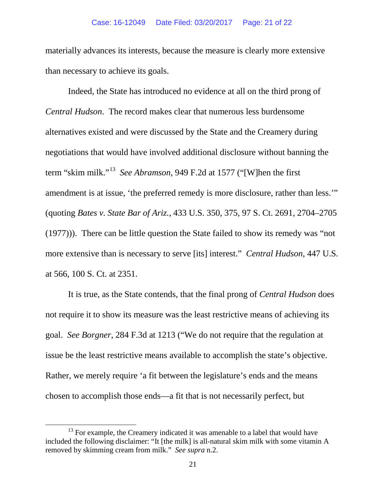materially advances its interests, because the measure is clearly more extensive than necessary to achieve its goals.

Indeed, the State has introduced no evidence at all on the third prong of *Central Hudson*. The record makes clear that numerous less burdensome alternatives existed and were discussed by the State and the Creamery during negotiations that would have involved additional disclosure without banning the term "skim milk."[13](#page-20-0) *See Abramson*, 949 F.2d at 1577 ("[W]hen the first amendment is at issue, 'the preferred remedy is more disclosure, rather than less.'" (quoting *Bates v. State Bar of Ariz.*, 433 U.S. 350, 375, 97 S. Ct. 2691, 2704–2705 (1977))). There can be little question the State failed to show its remedy was "not more extensive than is necessary to serve [its] interest." *Central Hudson*, 447 U.S. at 566, 100 S. Ct. at 2351.

It is true, as the State contends, that the final prong of *Central Hudson* does not require it to show its measure was the least restrictive means of achieving its goal. *See Borgner*, 284 F.3d at 1213 ("We do not require that the regulation at issue be the least restrictive means available to accomplish the state's objective. Rather, we merely require 'a fit between the legislature's ends and the means chosen to accomplish those ends—a fit that is not necessarily perfect, but

<span id="page-20-0"></span> $13$  For example, the Creamery indicated it was amenable to a label that would have included the following disclaimer: "It [the milk] is all-natural skim milk with some vitamin A removed by skimming cream from milk." *See supra* n.2.